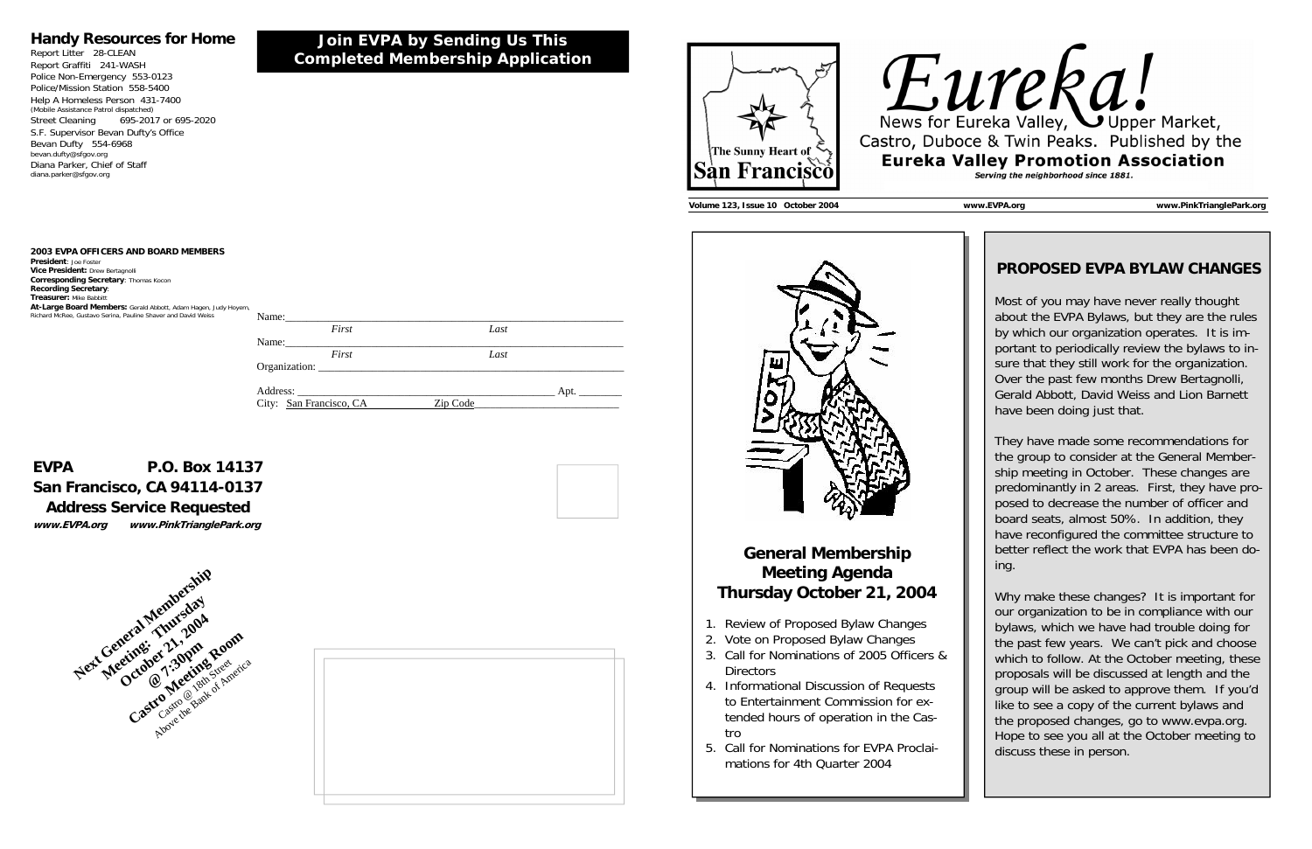| Name:    |       |      |  |
|----------|-------|------|--|
|          | First | Last |  |
| Name:    |       |      |  |
|          | First | Last |  |
|          |       |      |  |
|          |       |      |  |
| Address: |       | Apt. |  |

**Join EVPA by Sending Us This Completed Membership Application** 

City: San Francisco, CA Zip Code

### **Handy Resources for Home**

Report Litter 28-CLEAN Report Graffiti 241-WASH Police Non-Emergency 553-0123 Police/Mission Station 558-5400 Help A Homeless Person 431-7400 (Mobile Assistance Patrol dispatched) Street Cleaning 695-2017 or 695-2020 S.F. Supervisor Bevan Dufty's Office Bevan Dufty 554-6968 bevan.dufty@sfgov.org Diana Parker, Chief of Staff diana.parker@sfgov.org

## **EVPA P.O. Box 14137 San Francisco, CA 94114-0137 Address Service Requested**



**www.EVPA.org www.PinkTrianglePark.org** 

**2003 EVPA OFFICERS AND BOARD MEMBERS** 

**President**: Joe Foster**Vice President:** Drew Bertagnolli **Corresponding Secretary**: Thomas Kocon **Recording Secretary**: **Treasurer:** Mike Babbitt **At-Large Board Members:** Gerald Abbott, Adam Hagen, Judy Hoyem, Richard McRee, Gustavo Serina, Pauline Shaver and David Weiss









**Volume 123, Issue 10 October 2004 www.EVPA.org www.PinkTrianglePark.org** 



### **General Membership Meeting Agenda Thursday October 21, 2004**

- 1. Review of Proposed Bylaw Changes
- 2. Vote on Proposed Bylaw Changes
- 3. Call for Nominations of 2005 Officers & **Directors**
- 4. Informational Discussion of Requests to Entertainment Commission for extended hours of operation in the Castro
- 5. Call for Nominations for EVPA Proclaimations for 4th Quarter 2004

### **PROPOSED EVPA BYLAW CHANGES**

Most of you may have never really thought about the EVPA Bylaws, but they are the rules by which our organization operates. It is important to periodically review the bylaws to insure that they still work for the organization. Over the past few months Drew Bertagnolli, Gerald Abbott, David Weiss and Lion Barnett have been doing just that.

They have made some recommendations for the group to consider at the General Membership meeting in October. These changes are predominantly in 2 areas. First, they have proposed to decrease the number of officer and board seats, almost 50%. In addition, they have reconfigured the committee structure to better reflect the work that EVPA has been doing.

Why make these changes? It is important for our organization to be in compliance with our bylaws, which we have had trouble doing for the past few years. We can't pick and choose which to follow. At the October meeting, these proposals will be discussed at length and the group will be asked to approve them. If you'd like to see a copy of the current bylaws and the proposed changes, go to www.evpa.org. Hope to see you all at the October meeting to discuss these in person.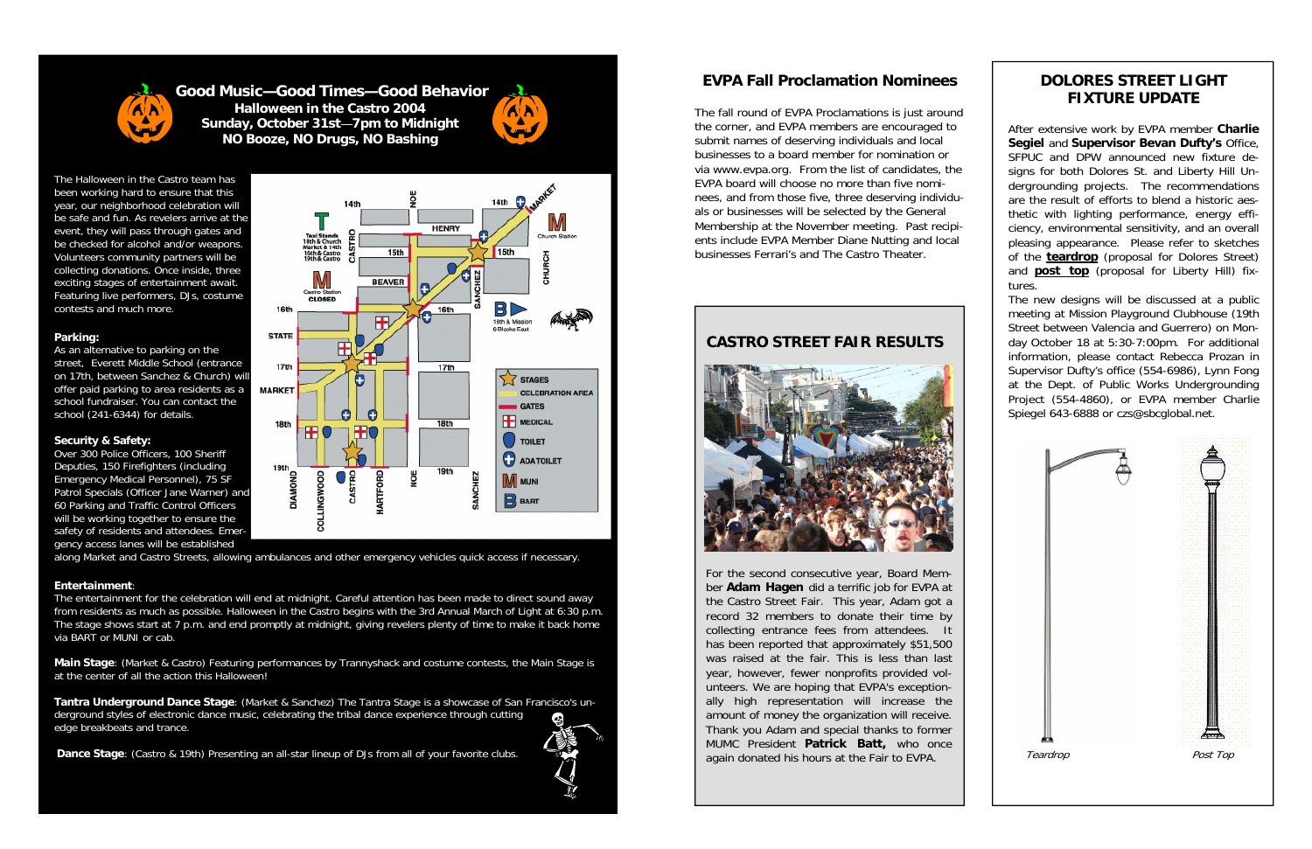

**Good Music—Good Times—Good BehaviorHalloween in the Castro 2004 Sunday, October 31st** —**7pm to Midnight NO Booze, NO Drugs, NO Bashing**



The Halloween in the Castro team has been working hard to ensure that this year, our neighborhood celebration will be safe and fun. As revelers arrive at the event, they will pass through gates and be checked for alcohol and/or weapons. Volunteers community partners will be collecting donations. Once inside, three exciting stages of entertainment await. Featuring live performers, DJs, costume contests and much more.

#### **Parking:**

As an alternative to parking on the street, Everett Middle School (entrance on 17th, between Sanchez & Church) will offer paid parking to area residents as a school fundraiser. You can contact the school (241-6344) for details.

### **Security & Safety:**

Over 300 Police Officers, 100 Sheriff Deputies, 150 Firefighters (including Emergency Medical Personnel), 75 SF Patrol Specials (Officer Jane Warner) and 60 Parking and Traffic Control Officers will be working together to ensure the safety of residents and attendees. Emergency access lanes will be established



along Market and Castro Streets, allowing ambulances and other emergency vehicles quick access if necessary.

### **Entertainment**:

The entertainment for the celebration will end at midnight. Careful attention has been made to direct sound away from residents as much as possible. Halloween in the Castro begins with the 3rd Annual March of Light at 6:30 p.m. The stage shows start at 7 p.m. and end promptly at midnight, giving revelers plenty of time to make it back home via BART or MUNI or cab.

**Main Stage**: (Market & Castro) Featuring performances by Trannyshack and costume contests, the Main Stage is at the center of all the action this Halloween!

**Tantra Underground Dance Stage**: (Market & Sanchez) The Tantra Stage is a showcase of San Francisco's underground styles of electronic dance music, celebrating the tribal dance experience through cutting edge breakbeats and trance.

**Dance Stage**: (Castro & 19th) Presenting an all-star lineup of DJs from all of your favorite clubs.



### **EVPA Fall Proclamation Nominees**

The fall round of EVPA Proclamations is just around the corner, and EVPA members are encouraged to submit names of deserving individuals and local businesses to a board member for nomination or via www.evpa.org. From the list of candidates, the EVPA board will choose no more than five nominees, and from those five, three deserving individuals or businesses will be selected by the General Membership at the November meeting. Past recipients include EVPA Member Diane Nutting and local businesses Ferrari's and The Castro Theater.

For the second consecutive year, Board Member **Adam Hagen** did a terrific job for EVPA at the Castro Street Fair. This year, Adam got a record 32 members to donate their time by collecting entrance fees from attendees. It has been reported that approximately \$51,500 was raised at the fair. This is less than last year, however, fewer nonprofits provided volunteers. We are hoping that EVPA's exceptionally high representation will increase the amount of money the organization will receive. Thank you Adam and special thanks to former MUMC President **Patrick Batt,** who once again donated his hours at the Fair to EVPA.

### **DOLORES STREET LIGHT FIXTURE UPDATE**

After extensive work by EVPA member **Charlie Segiel** and **Supervisor Bevan Dufty's** Office, SFPUC and DPW announced new fixture designs for both Dolores St. and Liberty Hill Undergrounding projects. The recommendations are the result of efforts to blend a historic aesthetic with lighting performance, energy efficiency, environmental sensitivity, and an overall pleasing appearance. Please refer to sketches of the **teardrop** (proposal for Dolores Street) and **post top** (proposal for Liberty Hill) fixtures.

The new designs will be discussed at a public meeting at Mission Playground Clubhouse (19th Street between Valencia and Guerrero) on Monday October 18 at 5:30-7:00pm. For additional information, please contact Rebecca Prozan in Supervisor Dufty's office (554-6986), Lynn Fong at the Dept. of Public Works Undergrounding Project (554-4860), or EVPA member Charlie Spiegel 643-6888 or czs@sbcglobal.net.



### **CASTRO STREET FAIR RESULTS**

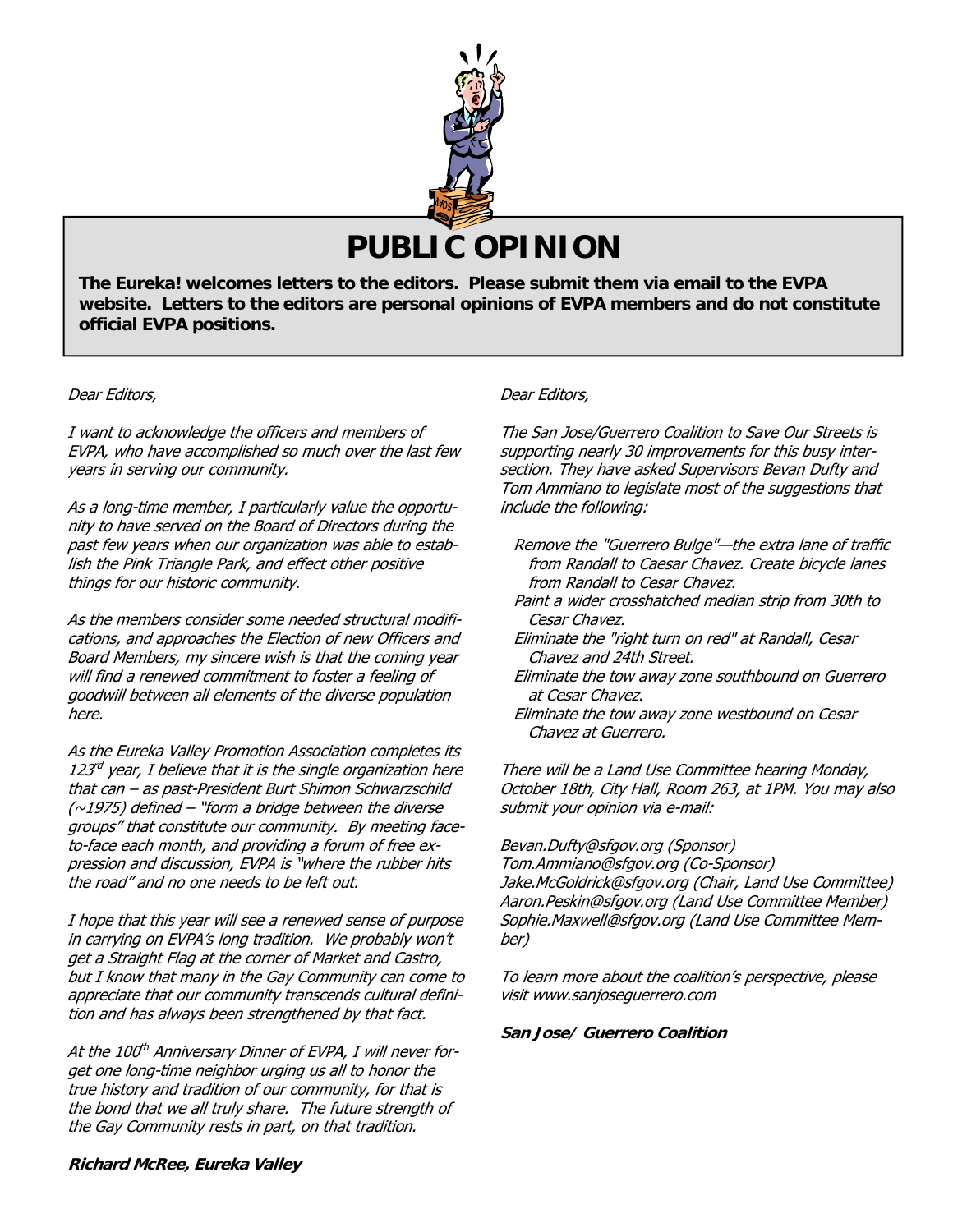

# **PUBLIC OPINION**

**The Eureka! welcomes letters to the editors. Please submit them via email to the EVPA website. Letters to the editors are personal opinions of EVPA members and do not constitute official EVPA positions.** 

### Dear Editors,

I want to acknowledge the officers and members of EVPA, who have accomplished so much over the last few years in serving our community.

As a long-time member, I particularly value the opportunity to have served on the Board of Directors during the past few years when our organization was able to establish the Pink Triangle Park, and effect other positive things for our historic community.

As the members consider some needed structural modifications, and approaches the Election of new Officers and Board Members, my sincere wish is that the coming year will find a renewed commitment to foster a feeling of goodwill between all elements of the diverse population here.

As the Eureka Valley Promotion Association completes its  $123<sup>rd</sup>$  vear, I believe that it is the single organization here that can – as past-President Burt Shimon Schwarzschild  $(\sim$ 1975) defined – "form a bridge between the diverse groups" that constitute our community. By meeting faceto-face each month, and providing a forum of free expression and discussion, EVPA is "where the rubber hits the road" and no one needs to be left out.

I hope that this year will see a renewed sense of purpose in carrying on EVPA's long tradition. We probably won't get a Straight Flag at the corner of Market and Castro, but I know that many in the Gay Community can come to appreciate that our community transcends cultural definition and has always been strengthened by that fact.

At the 100<sup>th</sup> Anniversary Dinner of EVPA, I will never forget one long-time neighbor urging us all to honor the true history and tradition of our community, for that is the bond that we all truly share. The future strength of the Gay Community rests in part, on that tradition.

#### Dear Editors,

The San Jose/Guerrero Coalition to Save Our Streets is supporting nearly 30 improvements for this busy intersection. They have asked Supervisors Bevan Dufty and Tom Ammiano to legislate most of the suggestions that include the following:

- Remove the "Guerrero Bulge"—the extra lane of traffic from Randall to Caesar Chavez. Create bicycle lanes from Randall to Cesar Chavez.
- Paint a wider crosshatched median strip from 30th to Cesar Chavez.
- Eliminate the "right turn on red" at Randall, Cesar Chavez and 24th Street.
- Eliminate the tow away zone southbound on Guerrero at Cesar Chavez.
- Eliminate the tow away zone westbound on Cesar Chavez at Guerrero.

There will be a Land Use Committee hearing Monday, October 18th, City Hall, Room 263, at 1PM. You may also submit your opinion via e-mail:

#### Bevan.Dufty@sfgov.org (Sponsor)

Tom.Ammiano@sfgov.org (Co-Sponsor) Jake.McGoldrick@sfgov.org (Chair, Land Use Committee) Aaron.Peskin@sfgov.org (Land Use Committee Member) Sophie.Maxwell@sfgov.org (Land Use Committee Member)

To learn more about the coalition's perspective, please visit www.sanjoseguerrero.com

#### **San Jose/ Guerrero Coalition**

**Richard McRee, Eureka Valley**